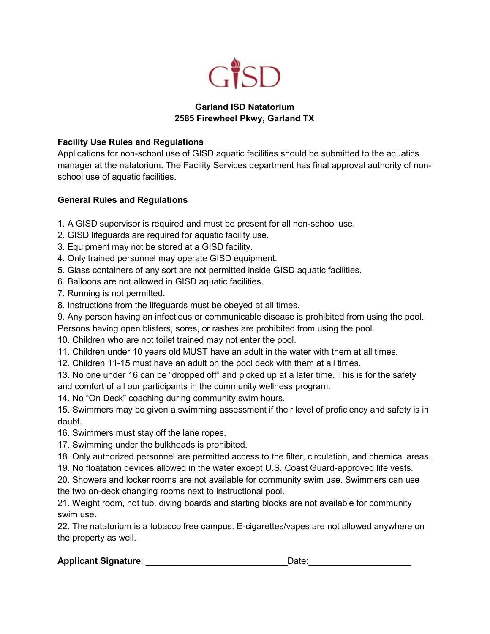

## **Garland ISD Natatorium 2585 Firewheel Pkwy, Garland TX**

### **Facility Use Rules and Regulations**

Applications for non-school use of GISD aquatic facilities should be submitted to the aquatics manager at the natatorium. The Facility Services department has final approval authority of nonschool use of aquatic facilities.

# **General Rules and Regulations**

- 1. A GISD supervisor is required and must be present for all non-school use.
- 2. GISD lifeguards are required for aquatic facility use.
- 3. Equipment may not be stored at a GISD facility.
- 4. Only trained personnel may operate GISD equipment.
- 5. Glass containers of any sort are not permitted inside GISD aquatic facilities.
- 6. Balloons are not allowed in GISD aquatic facilities.
- 7. Running is not permitted.
- 8. Instructions from the lifeguards must be obeyed at all times.
- 9. Any person having an infectious or communicable disease is prohibited from using the pool.
- Persons having open blisters, sores, or rashes are prohibited from using the pool.
- 10. Children who are not toilet trained may not enter the pool.
- 11. Children under 10 years old MUST have an adult in the water with them at all times.
- 12. Children 11-15 must have an adult on the pool deck with them at all times.
- 13. No one under 16 can be "dropped off" and picked up at a later time. This is for the safety and comfort of all our participants in the community wellness program.
- 14. No "On Deck" coaching during community swim hours.
- 15. Swimmers may be given a swimming assessment if their level of proficiency and safety is in doubt.
- 16. Swimmers must stay off the lane ropes.
- 17. Swimming under the bulkheads is prohibited.
- 18. Only authorized personnel are permitted access to the filter, circulation, and chemical areas.
- 19. No floatation devices allowed in the water except U.S. Coast Guard-approved life vests.
- 20. Showers and locker rooms are not available for community swim use. Swimmers can use the two on-deck changing rooms next to instructional pool.
- 21. Weight room, hot tub, diving boards and starting blocks are not available for community swim use.

22. The natatorium is a tobacco free campus. E-cigarettes/vapes are not allowed anywhere on the property as well.

# **Applicant Signature: example 2 and 2 and 2 and 2 and 2 and 2 and 2 and 2 and 2 and 2 and 2 and 2 and 2 and 2 and 2 and 2 and 2 and 2 and 2 and 2 and 2 and 2 and 2 and 2 and 2 and 2 and 2 and 2 and 2 and 2 and 2 and 2 and**